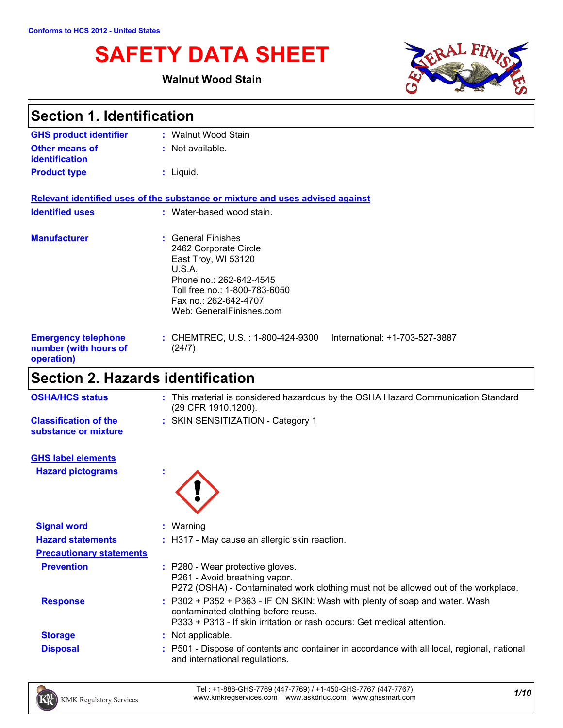# **SAFETY DATA SHEET**

### **Walnut Wood Stain**



| <b>Section 1. Identification</b>                                  |                                                                                                                                                                                              |  |
|-------------------------------------------------------------------|----------------------------------------------------------------------------------------------------------------------------------------------------------------------------------------------|--|
| <b>GHS product identifier</b>                                     | : Walnut Wood Stain                                                                                                                                                                          |  |
| Other means of<br>identification                                  | : Not available.                                                                                                                                                                             |  |
| <b>Product type</b>                                               | $:$ Liquid.                                                                                                                                                                                  |  |
|                                                                   | Relevant identified uses of the substance or mixture and uses advised against                                                                                                                |  |
| <b>Identified uses</b>                                            | : Water-based wood stain.                                                                                                                                                                    |  |
| <b>Manufacturer</b>                                               | : General Finishes<br>2462 Corporate Circle<br>East Troy, WI 53120<br>U.S.A.<br>Phone no.: 262-642-4545<br>Toll free no.: 1-800-783-6050<br>Fax no: 262-642-4707<br>Web: GeneralFinishes.com |  |
| <b>Emergency telephone</b><br>number (with hours of<br>operation) | : CHEMTREC, U.S. : 1-800-424-9300    International: +1-703-527-3887<br>(24/7)                                                                                                                |  |
| <b>Section 2. Hazards identification</b>                          |                                                                                                                                                                                              |  |

| <b>OSHA/HCS status</b>                               | : This material is considered hazardous by the OSHA Hazard Communication Standard<br>(29 CFR 1910.1200).                                                                                      |
|------------------------------------------------------|-----------------------------------------------------------------------------------------------------------------------------------------------------------------------------------------------|
| <b>Classification of the</b><br>substance or mixture | : SKIN SENSITIZATION - Category 1                                                                                                                                                             |
| <b>GHS label elements</b>                            |                                                                                                                                                                                               |
| <b>Hazard pictograms</b>                             |                                                                                                                                                                                               |
| <b>Signal word</b>                                   | $:$ Warning                                                                                                                                                                                   |
| <b>Hazard statements</b>                             | : H317 - May cause an allergic skin reaction.                                                                                                                                                 |
| <b>Precautionary statements</b>                      |                                                                                                                                                                                               |
| <b>Prevention</b>                                    | : P280 - Wear protective gloves.<br>P261 - Avoid breathing vapor.<br>P272 (OSHA) - Contaminated work clothing must not be allowed out of the workplace.                                       |
| <b>Response</b>                                      | : P302 + P352 + P363 - IF ON SKIN: Wash with plenty of soap and water. Wash<br>contaminated clothing before reuse.<br>P333 + P313 - If skin irritation or rash occurs: Get medical attention. |
| <b>Storage</b>                                       | : Not applicable.                                                                                                                                                                             |
| <b>Disposal</b>                                      | : P501 - Dispose of contents and container in accordance with all local, regional, national<br>and international regulations.                                                                 |

*1/10* Tel : +1-888-GHS-7769 (447-7769) / +1-450-GHS-7767 (447-7767) www.kmkregservices.com www.askdrluc.com www.ghssmart.com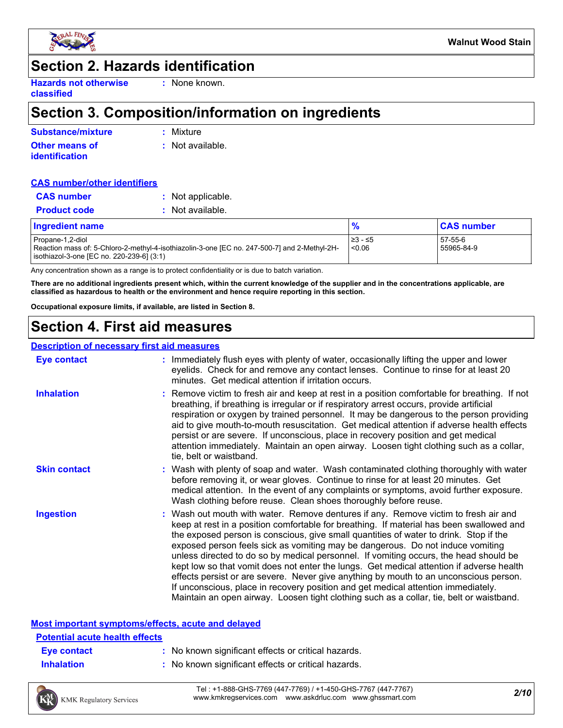

### **Section 2. Hazards identification**

**Hazards not otherwise classified**

**:** None known.

### **Section 3. Composition/information on ingredients**

| Substance/mixture     | : Mixture        |
|-----------------------|------------------|
| <b>Other means of</b> | : Not available. |
| <b>identification</b> |                  |

#### **CAS number/other identifiers**

| <b>CAS</b> number   | : Not applicable.  |
|---------------------|--------------------|
| <b>Product code</b> | $:$ Not available. |

| <b>Ingredient name</b>                                                                                                                                        |                    | <b>CAS number</b>     |  |
|---------------------------------------------------------------------------------------------------------------------------------------------------------------|--------------------|-----------------------|--|
| Propane-1,2-diol<br>-Reaction mass of: 5-Chloro-2-methyl-4-isothiazolin-3-one [EC no. 247-500-7] and 2-Methyl-2H<br>isothiazol-3-one [EC no. 220-239-6] (3:1) | 1≥3 - ≤5<br>< 0.06 | 57-55-6<br>55965-84-9 |  |

Any concentration shown as a range is to protect confidentiality or is due to batch variation.

**There are no additional ingredients present which, within the current knowledge of the supplier and in the concentrations applicable, are classified as hazardous to health or the environment and hence require reporting in this section.**

**Occupational exposure limits, if available, are listed in Section 8.**

### **Section 4. First aid measures**

#### **Description of necessary first aid measures**

| <b>Eye contact</b>  | : Immediately flush eyes with plenty of water, occasionally lifting the upper and lower<br>eyelids. Check for and remove any contact lenses. Continue to rinse for at least 20<br>minutes. Get medical attention if irritation occurs.                                                                                                                                                                                                                                                                                                                                                                                                                                                                                                                                                                                    |
|---------------------|---------------------------------------------------------------------------------------------------------------------------------------------------------------------------------------------------------------------------------------------------------------------------------------------------------------------------------------------------------------------------------------------------------------------------------------------------------------------------------------------------------------------------------------------------------------------------------------------------------------------------------------------------------------------------------------------------------------------------------------------------------------------------------------------------------------------------|
| <b>Inhalation</b>   | : Remove victim to fresh air and keep at rest in a position comfortable for breathing. If not<br>breathing, if breathing is irregular or if respiratory arrest occurs, provide artificial<br>respiration or oxygen by trained personnel. It may be dangerous to the person providing<br>aid to give mouth-to-mouth resuscitation. Get medical attention if adverse health effects<br>persist or are severe. If unconscious, place in recovery position and get medical<br>attention immediately. Maintain an open airway. Loosen tight clothing such as a collar,<br>tie, belt or waistband.                                                                                                                                                                                                                              |
| <b>Skin contact</b> | : Wash with plenty of soap and water. Wash contaminated clothing thoroughly with water<br>before removing it, or wear gloves. Continue to rinse for at least 20 minutes. Get<br>medical attention. In the event of any complaints or symptoms, avoid further exposure.<br>Wash clothing before reuse. Clean shoes thoroughly before reuse.                                                                                                                                                                                                                                                                                                                                                                                                                                                                                |
| <b>Ingestion</b>    | : Wash out mouth with water. Remove dentures if any. Remove victim to fresh air and<br>keep at rest in a position comfortable for breathing. If material has been swallowed and<br>the exposed person is conscious, give small quantities of water to drink. Stop if the<br>exposed person feels sick as vomiting may be dangerous. Do not induce vomiting<br>unless directed to do so by medical personnel. If vomiting occurs, the head should be<br>kept low so that vomit does not enter the lungs. Get medical attention if adverse health<br>effects persist or are severe. Never give anything by mouth to an unconscious person.<br>If unconscious, place in recovery position and get medical attention immediately.<br>Maintain an open airway. Loosen tight clothing such as a collar, tie, belt or waistband. |

### **Most important symptoms/effects, acute and delayed**

### **Eye contact :** No known significant effects or critical hazards. **Potential acute health effects**

- 
- **Inhalation :** No known significant effects or critical hazards.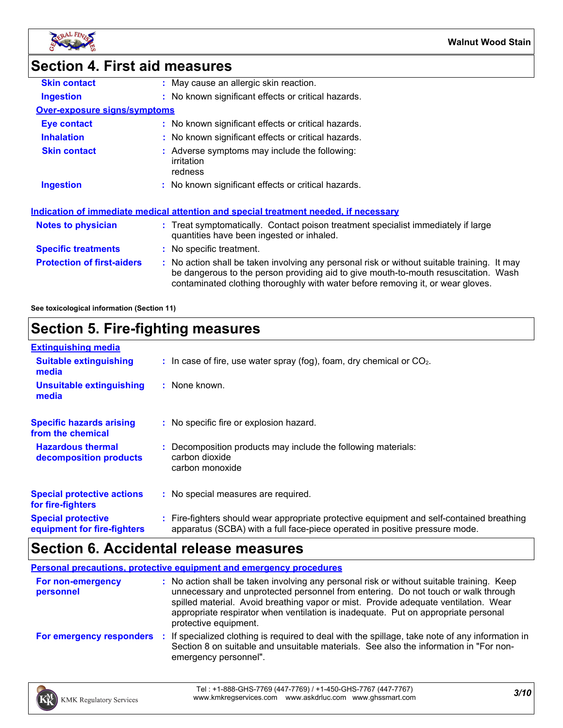

### **Section 4. First aid measures**

| <b>Skin contact</b>                 | : May cause an allergic skin reaction.                                                                                                                                                                                                                                |
|-------------------------------------|-----------------------------------------------------------------------------------------------------------------------------------------------------------------------------------------------------------------------------------------------------------------------|
| <b>Ingestion</b>                    | : No known significant effects or critical hazards.                                                                                                                                                                                                                   |
| <b>Over-exposure signs/symptoms</b> |                                                                                                                                                                                                                                                                       |
| <b>Eye contact</b>                  | : No known significant effects or critical hazards.                                                                                                                                                                                                                   |
| <b>Inhalation</b>                   | : No known significant effects or critical hazards.                                                                                                                                                                                                                   |
| <b>Skin contact</b>                 | : Adverse symptoms may include the following:<br>irritation<br>redness                                                                                                                                                                                                |
| <b>Ingestion</b>                    | : No known significant effects or critical hazards.                                                                                                                                                                                                                   |
|                                     | <u>Indication of immediate medical attention and special treatment needed, if necessary</u>                                                                                                                                                                           |
| Notes to physician                  | : Treat symptomatically. Contact poison treatment specialist immediately if large<br>quantities have been ingested or inhaled.                                                                                                                                        |
| <b>Specific treatments</b>          | : No specific treatment.                                                                                                                                                                                                                                              |
| <b>Protection of first-aiders</b>   | : No action shall be taken involving any personal risk or without suitable training. It may<br>be dangerous to the person providing aid to give mouth-to-mouth resuscitation. Wash<br>contaminated clothing thoroughly with water before removing it, or wear gloves. |
|                                     |                                                                                                                                                                                                                                                                       |

**See toxicological information (Section 11)**

### **Section 5. Fire-fighting measures**

| <b>Extinguishing media</b>                               |                                                                                                                                                                          |
|----------------------------------------------------------|--------------------------------------------------------------------------------------------------------------------------------------------------------------------------|
| <b>Suitable extinguishing</b><br>media                   | $\therefore$ In case of fire, use water spray (fog), foam, dry chemical or CO <sub>2</sub> .                                                                             |
| <b>Unsuitable extinguishing</b><br>media                 | : None known.                                                                                                                                                            |
| <b>Specific hazards arising</b><br>from the chemical     | : No specific fire or explosion hazard.                                                                                                                                  |
| <b>Hazardous thermal</b><br>decomposition products       | : Decomposition products may include the following materials:<br>carbon dioxide<br>carbon monoxide                                                                       |
| <b>Special protective actions</b><br>for fire-fighters   | : No special measures are required.                                                                                                                                      |
| <b>Special protective</b><br>equipment for fire-fighters | : Fire-fighters should wear appropriate protective equipment and self-contained breathing<br>apparatus (SCBA) with a full face-piece operated in positive pressure mode. |

### **Section 6. Accidental release measures**

**Personal precautions, protective equipment and emergency procedures**

| <b>For non-emergency</b><br>personnel | : No action shall be taken involving any personal risk or without suitable training. Keep<br>unnecessary and unprotected personnel from entering. Do not touch or walk through<br>spilled material. Avoid breathing vapor or mist. Provide adequate ventilation. Wear<br>appropriate respirator when ventilation is inadequate. Put on appropriate personal<br>protective equipment. |
|---------------------------------------|--------------------------------------------------------------------------------------------------------------------------------------------------------------------------------------------------------------------------------------------------------------------------------------------------------------------------------------------------------------------------------------|
| For emergency responders              | : If specialized clothing is required to deal with the spillage, take note of any information in<br>Section 8 on suitable and unsuitable materials. See also the information in "For non-<br>emergency personnel".                                                                                                                                                                   |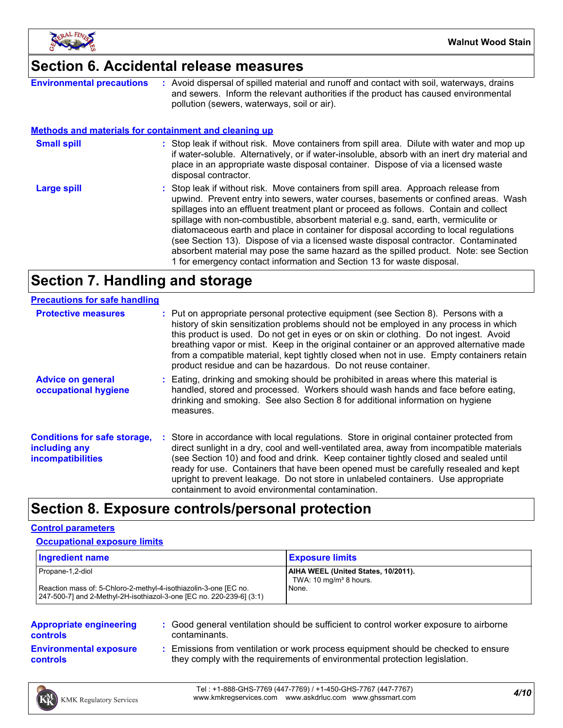

### **Section 6. Accidental release measures**

| <b>Environmental precautions</b>                             | Avoid dispersal of spilled material and runoff and contact with soil, waterways, drains<br>and sewers. Inform the relevant authorities if the product has caused environmental<br>pollution (sewers, waterways, soil or air).                                                                                                                                                                                                                                                                                                                                                                                                                                                                                |
|--------------------------------------------------------------|--------------------------------------------------------------------------------------------------------------------------------------------------------------------------------------------------------------------------------------------------------------------------------------------------------------------------------------------------------------------------------------------------------------------------------------------------------------------------------------------------------------------------------------------------------------------------------------------------------------------------------------------------------------------------------------------------------------|
| <b>Methods and materials for containment and cleaning up</b> |                                                                                                                                                                                                                                                                                                                                                                                                                                                                                                                                                                                                                                                                                                              |
| <b>Small spill</b>                                           | : Stop leak if without risk. Move containers from spill area. Dilute with water and mop up<br>if water-soluble. Alternatively, or if water-insoluble, absorb with an inert dry material and<br>place in an appropriate waste disposal container. Dispose of via a licensed waste<br>disposal contractor.                                                                                                                                                                                                                                                                                                                                                                                                     |
| <b>Large spill</b>                                           | : Stop leak if without risk. Move containers from spill area. Approach release from<br>upwind. Prevent entry into sewers, water courses, basements or confined areas. Wash<br>spillages into an effluent treatment plant or proceed as follows. Contain and collect<br>spillage with non-combustible, absorbent material e.g. sand, earth, vermiculite or<br>diatomaceous earth and place in container for disposal according to local regulations<br>(see Section 13). Dispose of via a licensed waste disposal contractor. Contaminated<br>absorbent material may pose the same hazard as the spilled product. Note: see Section<br>1 for emergency contact information and Section 13 for waste disposal. |

### **Section 7. Handling and storage**

| <b>Precautions for safe handling</b>                                      |                                                                                                                                                                                                                                                                                                                                                                                                                                                                                                                              |
|---------------------------------------------------------------------------|------------------------------------------------------------------------------------------------------------------------------------------------------------------------------------------------------------------------------------------------------------------------------------------------------------------------------------------------------------------------------------------------------------------------------------------------------------------------------------------------------------------------------|
| <b>Protective measures</b>                                                | : Put on appropriate personal protective equipment (see Section 8). Persons with a<br>history of skin sensitization problems should not be employed in any process in which<br>this product is used. Do not get in eyes or on skin or clothing. Do not ingest. Avoid<br>breathing vapor or mist. Keep in the original container or an approved alternative made<br>from a compatible material, kept tightly closed when not in use. Empty containers retain<br>product residue and can be hazardous. Do not reuse container. |
| <b>Advice on general</b><br>occupational hygiene                          | : Eating, drinking and smoking should be prohibited in areas where this material is<br>handled, stored and processed. Workers should wash hands and face before eating,<br>drinking and smoking. See also Section 8 for additional information on hygiene<br>measures.                                                                                                                                                                                                                                                       |
| <b>Conditions for safe storage,</b><br>including any<br>incompatibilities | : Store in accordance with local regulations. Store in original container protected from<br>direct sunlight in a dry, cool and well-ventilated area, away from incompatible materials<br>(see Section 10) and food and drink. Keep container tightly closed and sealed until<br>ready for use. Containers that have been opened must be carefully resealed and kept<br>upright to prevent leakage. Do not store in unlabeled containers. Use appropriate<br>containment to avoid environmental contamination.                |

## **Section 8. Exposure controls/personal protection**

#### **Control parameters**

#### **Occupational exposure limits**

| <b>Ingredient name</b>                                               | <b>Exposure limits</b>              |
|----------------------------------------------------------------------|-------------------------------------|
| Propane-1,2-diol                                                     | AIHA WEEL (United States, 10/2011). |
| Reaction mass of: 5-Chloro-2-methyl-4-isothiazolin-3-one [EC no.     | TWA: $10 \text{ mg/m}^3$ 8 hours.   |
| 247-500-71 and 2-Methyl-2H-isothiazol-3-one [EC no. 220-239-6] (3:1) | None.                               |

| <b>Appropriate engineering</b><br><b>controls</b> | : Good general ventilation should be sufficient to control worker exposure to airborne<br>contaminants.                                                          |  |
|---------------------------------------------------|------------------------------------------------------------------------------------------------------------------------------------------------------------------|--|
| <b>Environmental exposure</b><br><b>controls</b>  | : Emissions from ventilation or work process equipment should be checked to ensure<br>they comply with the requirements of environmental protection legislation. |  |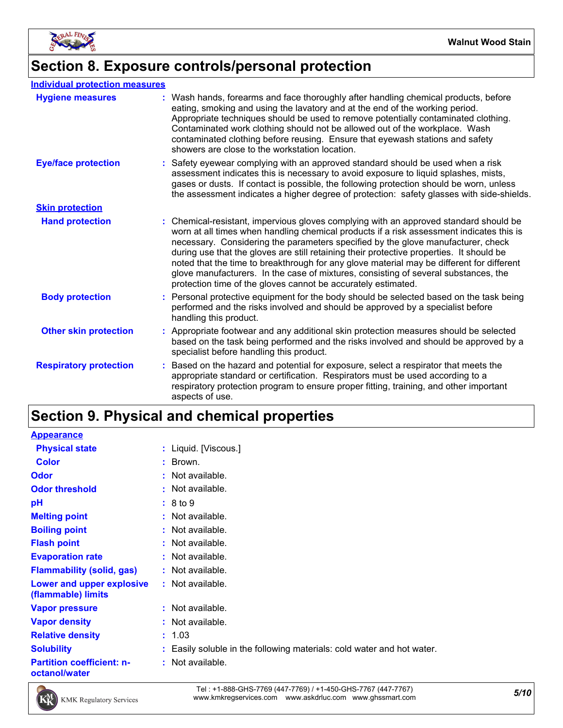

### **Section 8. Exposure controls/personal protection**

#### **Individual protection measures**

| <b>Hygiene measures</b>       | : Wash hands, forearms and face thoroughly after handling chemical products, before<br>eating, smoking and using the lavatory and at the end of the working period.<br>Appropriate techniques should be used to remove potentially contaminated clothing.<br>Contaminated work clothing should not be allowed out of the workplace. Wash<br>contaminated clothing before reusing. Ensure that eyewash stations and safety<br>showers are close to the workstation location.                                                                                                                                          |
|-------------------------------|----------------------------------------------------------------------------------------------------------------------------------------------------------------------------------------------------------------------------------------------------------------------------------------------------------------------------------------------------------------------------------------------------------------------------------------------------------------------------------------------------------------------------------------------------------------------------------------------------------------------|
| <b>Eye/face protection</b>    | : Safety eyewear complying with an approved standard should be used when a risk<br>assessment indicates this is necessary to avoid exposure to liquid splashes, mists,<br>gases or dusts. If contact is possible, the following protection should be worn, unless<br>the assessment indicates a higher degree of protection: safety glasses with side-shields.                                                                                                                                                                                                                                                       |
| <b>Skin protection</b>        |                                                                                                                                                                                                                                                                                                                                                                                                                                                                                                                                                                                                                      |
| <b>Hand protection</b>        | Chemical-resistant, impervious gloves complying with an approved standard should be<br>worn at all times when handling chemical products if a risk assessment indicates this is<br>necessary. Considering the parameters specified by the glove manufacturer, check<br>during use that the gloves are still retaining their protective properties. It should be<br>noted that the time to breakthrough for any glove material may be different for different<br>glove manufacturers. In the case of mixtures, consisting of several substances, the<br>protection time of the gloves cannot be accurately estimated. |
| <b>Body protection</b>        | : Personal protective equipment for the body should be selected based on the task being<br>performed and the risks involved and should be approved by a specialist before<br>handling this product.                                                                                                                                                                                                                                                                                                                                                                                                                  |
| <b>Other skin protection</b>  | : Appropriate footwear and any additional skin protection measures should be selected<br>based on the task being performed and the risks involved and should be approved by a<br>specialist before handling this product.                                                                                                                                                                                                                                                                                                                                                                                            |
| <b>Respiratory protection</b> | Based on the hazard and potential for exposure, select a respirator that meets the<br>appropriate standard or certification. Respirators must be used according to a<br>respiratory protection program to ensure proper fitting, training, and other important<br>aspects of use.                                                                                                                                                                                                                                                                                                                                    |

## **Section 9. Physical and chemical properties**

| <b>Appearance</b>                                 |                                                                        |
|---------------------------------------------------|------------------------------------------------------------------------|
| <b>Physical state</b>                             | : Liquid. [Viscous.]                                                   |
| <b>Color</b>                                      | : Brown.                                                               |
| <b>Odor</b>                                       | $:$ Not available.                                                     |
| <b>Odor threshold</b>                             | : Not available.                                                       |
| pH                                                | : 8 to 9                                                               |
| <b>Melting point</b>                              | : Not available.                                                       |
| <b>Boiling point</b>                              | : Not available.                                                       |
| <b>Flash point</b>                                | : Not available.                                                       |
| <b>Evaporation rate</b>                           | : Not available.                                                       |
| <b>Flammability (solid, gas)</b>                  | : Not available.                                                       |
| Lower and upper explosive<br>(flammable) limits   | : Not available.                                                       |
| <b>Vapor pressure</b>                             | : Not available.                                                       |
| <b>Vapor density</b>                              | : Not available.                                                       |
| <b>Relative density</b>                           | : 1.03                                                                 |
| <b>Solubility</b>                                 | : Easily soluble in the following materials: cold water and hot water. |
| <b>Partition coefficient: n-</b><br>octanol/water | : Not available.                                                       |



*5/10* Tel : +1-888-GHS-7769 (447-7769) / +1-450-GHS-7767 (447-7767) www.kmkregservices.com www.askdrluc.com www.ghssmart.com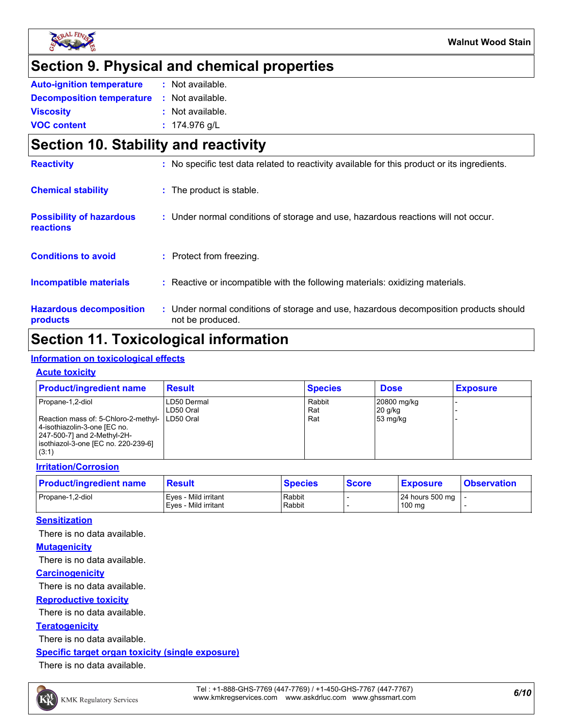

### **Section 9. Physical and chemical properties**

| <b>Auto-ignition temperature</b>                  | : Not available. |
|---------------------------------------------------|------------------|
| <b>Decomposition temperature : Not available.</b> |                  |
| <b>Viscosity</b>                                  | : Not available. |
| <b>VOC content</b>                                | : $174.976$ g/L  |

### **Section 10. Stability and reactivity**

| <b>Reactivity</b>                            | : No specific test data related to reactivity available for this product or its ingredients.              |
|----------------------------------------------|-----------------------------------------------------------------------------------------------------------|
| <b>Chemical stability</b>                    | : The product is stable.                                                                                  |
| <b>Possibility of hazardous</b><br>reactions | : Under normal conditions of storage and use, hazardous reactions will not occur.                         |
| <b>Conditions to avoid</b>                   | : Protect from freezing.                                                                                  |
| Incompatible materials                       | : Reactive or incompatible with the following materials: oxidizing materials.                             |
| <b>Hazardous decomposition</b><br>products   | : Under normal conditions of storage and use, hazardous decomposition products should<br>not be produced. |

### **Section 11. Toxicological information**

### **Information on toxicological effects**

#### **Acute toxicity**

| <b>Product/ingredient name</b>                                                                                                                                                      | <b>Result</b>            | <b>Species</b>       | <b>Dose</b>                          | <b>Exposure</b> |
|-------------------------------------------------------------------------------------------------------------------------------------------------------------------------------------|--------------------------|----------------------|--------------------------------------|-----------------|
| Propane-1,2-diol<br>Reaction mass of: 5-Chloro-2-methyl-   LD50 Oral<br>4-isothiazolin-3-one [EC no.<br>247-500-7] and 2-Methyl-2H-<br>isothiazol-3-one [EC no. 220-239-6]<br>(3:1) | LD50 Dermal<br>LD50 Oral | Rabbit<br>Rat<br>Rat | 20800 mg/kg<br>$20$ g/kg<br>53 mg/kg |                 |

#### **Irritation/Corrosion**

| <b>Product/ingredient name</b> | <b>Result</b>                                 | <b>Species</b>   | <b>Score</b> | <b>Exposure</b>               | <b>Observation</b> |
|--------------------------------|-----------------------------------------------|------------------|--------------|-------------------------------|--------------------|
| Propane-1.2-diol               | Eves - Mild irritant<br>LEves - Mild irritant | Rabbit<br>Rabbit |              | 24 hours 500 mg   -<br>100 mg |                    |

#### **Sensitization**

There is no data available.

#### **Mutagenicity**

There is no data available.

#### **Carcinogenicity**

There is no data available.

#### **Reproductive toxicity**

There is no data available.

#### **Teratogenicity**

There is no data available.

#### **Specific target organ toxicity (single exposure)**

There is no data available.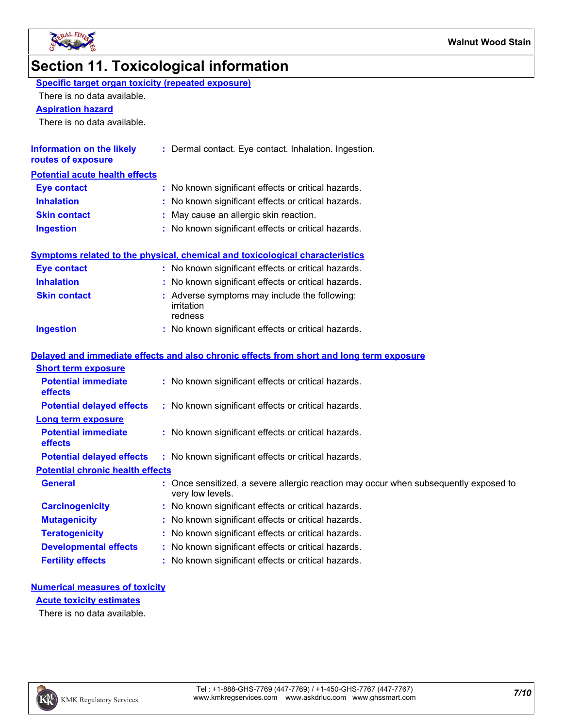

## **Section 11. Toxicological information**

| Specific target organ toxicity (repeated exposure) |
|----------------------------------------------------|
|----------------------------------------------------|

There is no data available.

#### **Aspiration hazard**

There is no data available.

| <b>Information on the likely</b><br>routes of exposure | : Dermal contact. Eye contact. Inhalation. Ingestion. |
|--------------------------------------------------------|-------------------------------------------------------|
| <b>Potential acute health effects</b>                  |                                                       |
| <b>Eye contact</b>                                     | : No known significant effects or critical hazards.   |
| <b>Inhalation</b>                                      | : No known significant effects or critical hazards.   |
| <b>Skin contact</b>                                    | : May cause an allergic skin reaction.                |
| <b>Ingestion</b>                                       | : No known significant effects or critical hazards.   |

|                            | <b>Symptoms related to the physical, chemical and toxicological characteristics</b>      |
|----------------------------|------------------------------------------------------------------------------------------|
| <b>Eye contact</b>         | : No known significant effects or critical hazards.                                      |
| <b>Inhalation</b>          | : No known significant effects or critical hazards.                                      |
| <b>Skin contact</b>        | : Adverse symptoms may include the following:<br>irritation<br>redness                   |
| Ingestion                  | : No known significant effects or critical hazards.                                      |
| <b>Short term exposure</b> | Delayed and immediate effects and also chronic effects from short and long term exposure |

| <b>ONOR IGHT GANUSULG</b>                    |                                                                                                          |
|----------------------------------------------|----------------------------------------------------------------------------------------------------------|
| <b>Potential immediate</b><br><b>effects</b> | : No known significant effects or critical hazards.                                                      |
| <b>Potential delayed effects</b>             | : No known significant effects or critical hazards.                                                      |
| <b>Long term exposure</b>                    |                                                                                                          |
| <b>Potential immediate</b><br><b>effects</b> | : No known significant effects or critical hazards.                                                      |
| <b>Potential delayed effects</b>             | : No known significant effects or critical hazards.                                                      |
| <b>Potential chronic health effects</b>      |                                                                                                          |
| <b>General</b>                               | : Once sensitized, a severe allergic reaction may occur when subsequently exposed to<br>very low levels. |
| <b>Carcinogenicity</b>                       | : No known significant effects or critical hazards.                                                      |
| <b>Mutagenicity</b>                          | : No known significant effects or critical hazards.                                                      |
| <b>Teratogenicity</b>                        | : No known significant effects or critical hazards.                                                      |
| <b>Developmental effects</b>                 | : No known significant effects or critical hazards.                                                      |
| <b>Fertility effects</b>                     | : No known significant effects or critical hazards.                                                      |

#### **Numerical measures of toxicity**

**Acute toxicity estimates**

There is no data available.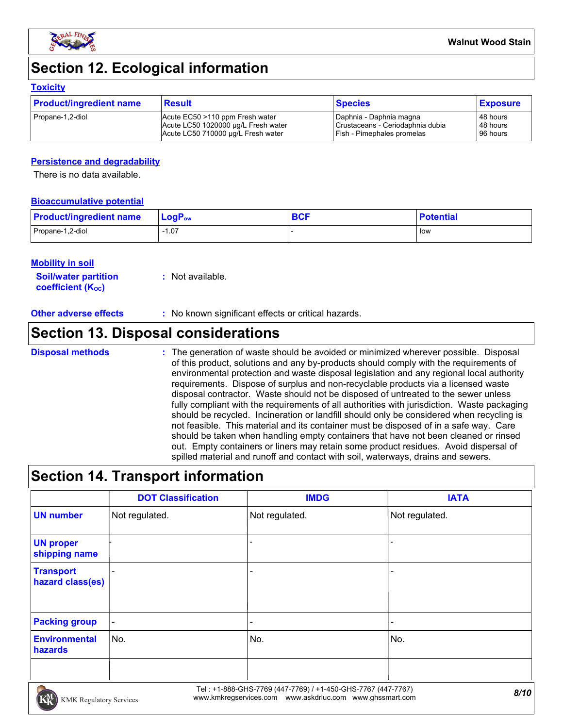

### **Section 12. Ecological information**

#### **Toxicity**

| <b>Product/ingredient name</b> | <b>Result</b>                       | <b>Species</b>                    | <b>Exposure</b> |
|--------------------------------|-------------------------------------|-----------------------------------|-----------------|
| Propane-1,2-diol               | Acute EC50 >110 ppm Fresh water     | Daphnia - Daphnia magna           | 48 hours        |
|                                | Acute LC50 1020000 µg/L Fresh water | Crustaceans - Ceriodaphnia dubia  | 48 hours        |
|                                | Acute LC50 710000 µg/L Fresh water  | <b>Fish - Pimephales promelas</b> | 96 hours        |

#### **Persistence and degradability**

There is no data available.

#### **Bioaccumulative potential**

| <b>Product/ingredient name</b> | $\mathsf{LogP}_\mathsf{ow}$ | <b>BCF</b> | <b>Potential</b> |
|--------------------------------|-----------------------------|------------|------------------|
| Propane-1,2-diol               | $-1.07$                     |            | low              |

#### **Mobility in soil**

**Soil/water partition coefficient (KOC) :** Not available.

| <b>Other adverse effects</b> | ' No known significant effects or critical hazards. |  |
|------------------------------|-----------------------------------------------------|--|
|------------------------------|-----------------------------------------------------|--|

### **Section 13. Disposal considerations**

#### The generation of waste should be avoided or minimized wherever possible. Disposal of this product, solutions and any by-products should comply with the requirements of environmental protection and waste disposal legislation and any regional local authority requirements. Dispose of surplus and non-recyclable products via a licensed waste disposal contractor. Waste should not be disposed of untreated to the sewer unless fully compliant with the requirements of all authorities with jurisdiction. Waste packaging should be recycled. Incineration or landfill should only be considered when recycling is not feasible. This material and its container must be disposed of in a safe way. Care should be taken when handling empty containers that have not been cleaned or rinsed out. Empty containers or liners may retain some product residues. Avoid dispersal of spilled material and runoff and contact with soil, waterways, drains and sewers. **Disposal methods :**

### **Section 14. Transport information**

|                                      | <b>DOT Classification</b> | <b>IMDG</b>              | <b>IATA</b>    |
|--------------------------------------|---------------------------|--------------------------|----------------|
| <b>UN number</b>                     | Not regulated.            | Not regulated.           | Not regulated. |
| <b>UN proper</b><br>shipping name    |                           | $\overline{\phantom{a}}$ |                |
| <b>Transport</b><br>hazard class(es) |                           |                          |                |
| <b>Packing group</b>                 | $\blacksquare$            |                          |                |
| <b>Environmental</b><br>hazards      | No.                       | No.                      | No.            |
|                                      |                           |                          |                |

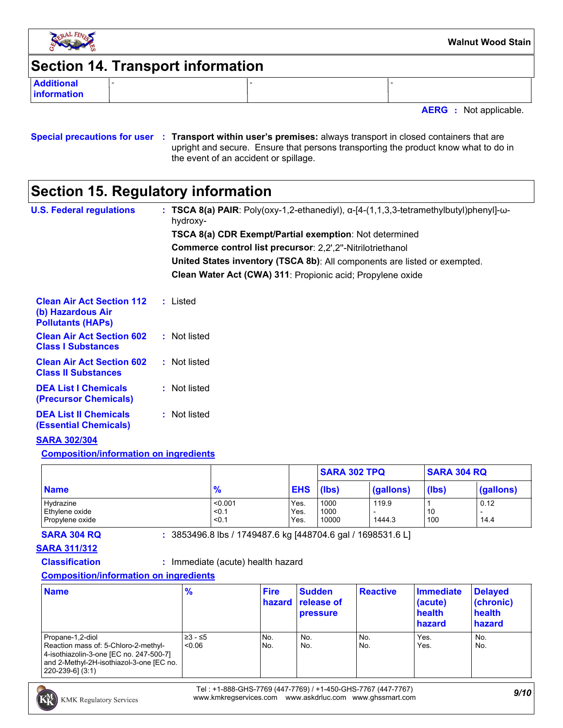

### **Section 14. Transport information**

**Additional information**

**AERG :** Not applicable.

#### **Special precautions for user Transport within user's premises:** always transport in closed containers that are **:** upright and secure. Ensure that persons transporting the product know what to do in the event of an accident or spillage.

### **Section 15. Regulatory information**

| <b>U.S. Federal regulations</b>                                                   | : TSCA 8(a) PAIR: Poly(oxy-1,2-ethanediyl), $\alpha$ -[4-(1,1,3,3-tetramethylbutyl)phenyl]- $\omega$ -<br>hydroxy- |
|-----------------------------------------------------------------------------------|--------------------------------------------------------------------------------------------------------------------|
|                                                                                   | <b>TSCA 8(a) CDR Exempt/Partial exemption: Not determined</b>                                                      |
|                                                                                   | <b>Commerce control list precursor: 2,2',2"-Nitrilotriethanol</b>                                                  |
|                                                                                   | <b>United States inventory (TSCA 8b)</b> : All components are listed or exempted.                                  |
|                                                                                   | Clean Water Act (CWA) 311: Propionic acid; Propylene oxide                                                         |
| <b>Clean Air Act Section 112</b><br>(b) Hazardous Air<br><b>Pollutants (HAPs)</b> | : Listed                                                                                                           |
| <b>Clean Air Act Section 602</b><br><b>Class I Substances</b>                     | : Not listed                                                                                                       |
| <b>Clean Air Act Section 602</b><br><b>Class II Substances</b>                    | : Not listed                                                                                                       |
| <b>DEA List I Chemicals</b><br>(Precursor Chemicals)                              | : Not listed                                                                                                       |
| <b>DEA List II Chemicals</b><br>(Essential Chemicals)                             | : Not listed                                                                                                       |
| <b>SARA 302/304</b>                                                               |                                                                                                                    |

#### **Composition/information on ingredients**

|                                                |                           |                      | <b>SARA 302 TPQ</b>   |                 | <b>SARA 304 RQ</b> |              |
|------------------------------------------------|---------------------------|----------------------|-----------------------|-----------------|--------------------|--------------|
| <b>Name</b>                                    | $\frac{9}{6}$             | <b>EHS</b>           | (lbs)                 | (gallons)       | (lbs)              | (gallons)    |
| Hydrazine<br>Ethylene oxide<br>Propylene oxide | < 0.001<br>< 0.1<br>< 0.1 | Yes.<br>Yes.<br>Yes. | 1000<br>1000<br>10000 | 119.9<br>1444.3 | 10<br>100          | 0.12<br>14.4 |

**SARA 304 RQ :** 3853496.8 lbs / 1749487.6 kg [448704.6 gal / 1698531.6 L]

#### **SARA 311/312**

**Classification :** Immediate (acute) health hazard

### **Composition/information on ingredients**

| <b>Name</b>                                                                                                                                                         | $\frac{9}{6}$     | <b>Fire</b> | <b>Sudden</b><br><b>hazard</b> release of<br><b>pressure</b> | <b>Reactive</b> | Immediate<br>(acute)<br>health<br>hazard | <b>Delayed</b><br>(chronic)<br>health<br>hazard |
|---------------------------------------------------------------------------------------------------------------------------------------------------------------------|-------------------|-------------|--------------------------------------------------------------|-----------------|------------------------------------------|-------------------------------------------------|
| Propane-1,2-diol<br>Reaction mass of: 5-Chloro-2-methyl-<br>4-isothiazolin-3-one [EC no. 247-500-7]<br>and 2-Methyl-2H-isothiazol-3-one [EC no.<br>220-239-61 (3:1) | 23 - ≤5<br>< 0.06 | No.<br>No.  | No.<br>No.                                                   | No.<br>No.      | Yes.<br>Yes.                             | No.<br>No.                                      |



*9/10* Tel : +1-888-GHS-7769 (447-7769) / +1-450-GHS-7767 (447-7767) www.kmkregservices.com www.askdrluc.com www.ghssmart.com